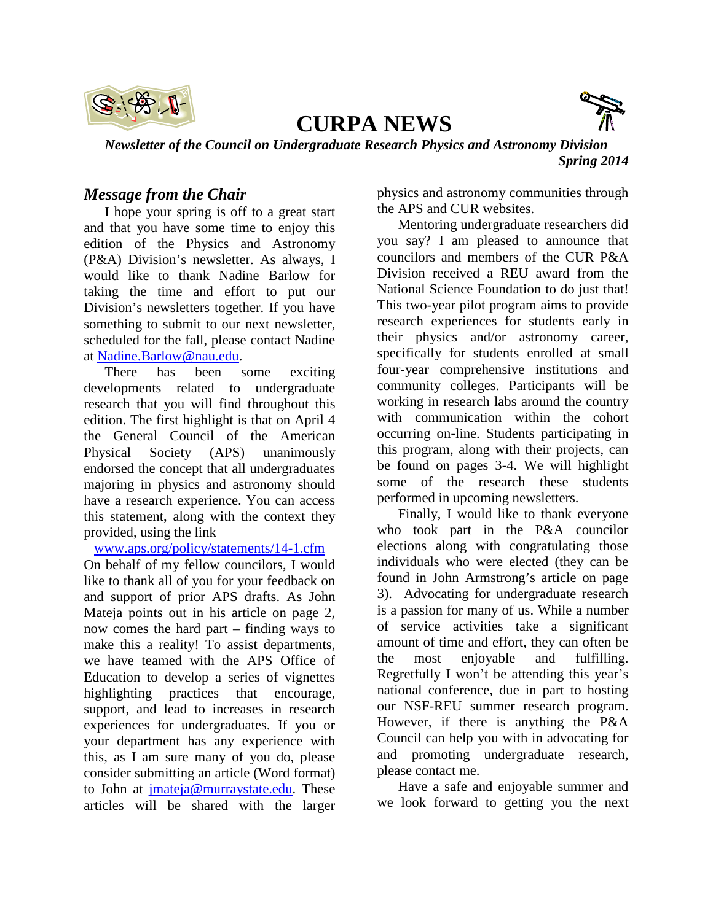

# **CURPA NEWS**



*Newsletter of the Council on Undergraduate Research Physics and Astronomy Division Spring 2014*

# *Message from the Chair*

I hope your spring is off to a great start and that you have some time to enjoy this edition of the Physics and Astronomy (P&A) Division's newsletter. As always, I would like to thank Nadine Barlow for taking the time and effort to put our Division's newsletters together. If you have something to submit to our next newsletter, scheduled for the fall, please contact Nadine at [Nadine.Barlow@nau.edu.](mailto:Nadine.Barlow@nau.edu)

There has been some exciting developments related to undergraduate research that you will find throughout this edition. The first highlight is that on April 4 the General Council of the American Physical Society (APS) unanimously endorsed the concept that all undergraduates majoring in physics and astronomy should have a research experience. You can access this statement, along with the context they provided, using the link

[www.aps.org/policy/statements/14-1.cfm](http://www.aps.org/policy/statements/14-1.cfm)

On behalf of my fellow councilors, I would like to thank all of you for your feedback on and support of prior APS drafts. As John Mateja points out in his article on page 2, now comes the hard part – finding ways to make this a reality! To assist departments, we have teamed with the APS Office of Education to develop a series of vignettes highlighting practices that encourage, support, and lead to increases in research experiences for undergraduates. If you or your department has any experience with this, as I am sure many of you do, please consider submitting an article (Word format) to John at [jmateja@murraystate.edu.](mailto:jmateja@murraystate.edu) These articles will be shared with the larger

physics and astronomy communities through the APS and CUR websites.

Mentoring undergraduate researchers did you say? I am pleased to announce that councilors and members of the CUR P&A Division received a REU award from the National Science Foundation to do just that! This two-year pilot program aims to provide research experiences for students early in their physics and/or astronomy career, specifically for students enrolled at small four-year comprehensive institutions and community colleges. Participants will be working in research labs around the country with communication within the cohort occurring on-line. Students participating in this program, along with their projects, can be found on pages 3-4. We will highlight some of the research these students performed in upcoming newsletters.

Finally, I would like to thank everyone who took part in the P&A councilor elections along with congratulating those individuals who were elected (they can be found in John Armstrong's article on page 3). Advocating for undergraduate research is a passion for many of us. While a number of service activities take a significant amount of time and effort, they can often be the most enjoyable and fulfilling. Regretfully I won't be attending this year's national conference, due in part to hosting our NSF-REU summer research program. However, if there is anything the P&A Council can help you with in advocating for and promoting undergraduate research, please contact me.

Have a safe and enjoyable summer and we look forward to getting you the next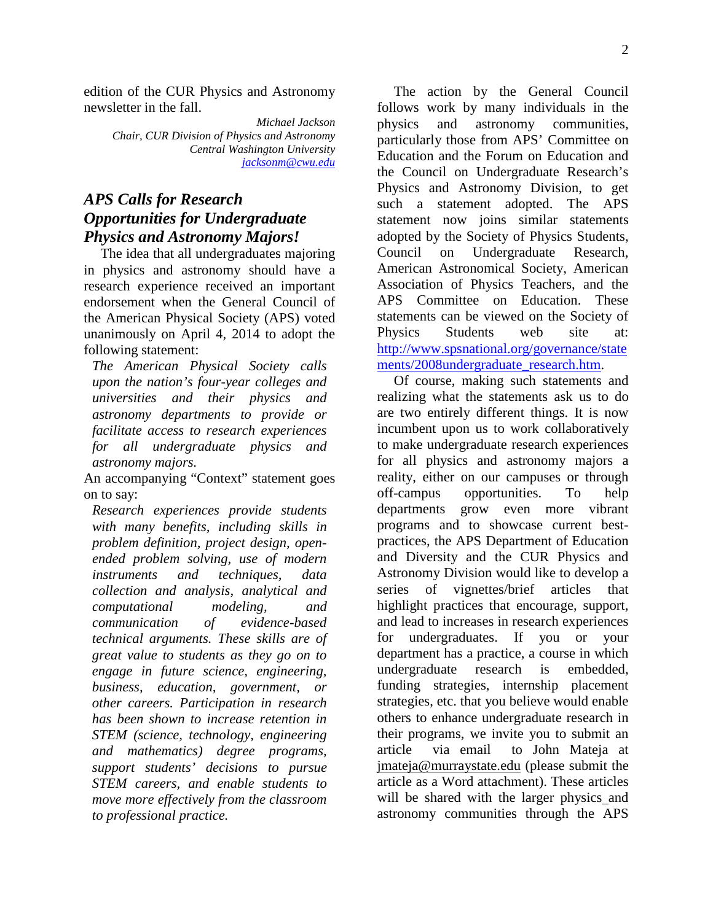edition of the CUR Physics and Astronomy newsletter in the fall.

> *Michael Jackson Chair, CUR Division of Physics and Astronomy Central Washington University [jacksonm@cwu.edu](mailto:jacksonm@cwu.edu)*

# *APS Calls for Research Opportunities for Undergraduate Physics and Astronomy Majors!*

The idea that all undergraduates majoring in physics and astronomy should have a research experience received an important endorsement when the General Council of the American Physical Society (APS) voted unanimously on April 4, 2014 to adopt the following statement:

*The American Physical Society calls upon the nation's four-year colleges and universities and their physics and astronomy departments to provide or facilitate access to research experiences for all undergraduate physics and astronomy majors.*

An accompanying "Context" statement goes on to say:

*Research experiences provide students with many benefits, including skills in problem definition, project design, openended problem solving, use of modern instruments and techniques, data collection and analysis, analytical and computational modeling, and communication of evidence-based technical arguments. These skills are of great value to students as they go on to engage in future science, engineering, business, education, government, or other careers. Participation in research has been shown to increase retention in STEM (science, technology, engineering and mathematics) degree programs, support students' decisions to pursue STEM careers, and enable students to move more effectively from the classroom to professional practice.* 

The action by the General Council follows work by many individuals in the physics and astronomy communities, particularly those from APS' Committee on Education and the Forum on Education and the Council on Undergraduate Research's Physics and Astronomy Division, to get such a statement adopted. The APS statement now joins similar statements adopted by the Society of Physics Students, Council on Undergraduate Research, American Astronomical Society, American Association of Physics Teachers, and the APS Committee on Education. These statements can be viewed on the Society of Physics Students web site at: [http://www.spsnational.org/governance/state](http://www.spsnational.org/governance/statements/2008undergraduate_research.htm) [ments/2008undergraduate\\_research.htm.](http://www.spsnational.org/governance/statements/2008undergraduate_research.htm)

Of course, making such statements and realizing what the statements ask us to do are two entirely different things. It is now incumbent upon us to work collaboratively to make undergraduate research experiences for all physics and astronomy majors a reality, either on our campuses or through off-campus opportunities. To help departments grow even more vibrant programs and to showcase current bestpractices, the APS Department of Education and Diversity and the CUR Physics and Astronomy Division would like to develop a series of vignettes/brief articles that highlight practices that encourage, support, and lead to increases in research experiences for undergraduates. If you or your department has a practice, a course in which undergraduate research is embedded, funding strategies, internship placement strategies, etc. that you believe would enable others to enhance undergraduate research in their programs, we invite you to submit an article via email to John Mateja at [jmateja@murraystate.edu](mailto:jmateja@murraystate.edu) (please submit the article as a Word attachment). These articles will be shared with the larger physics and astronomy communities through the APS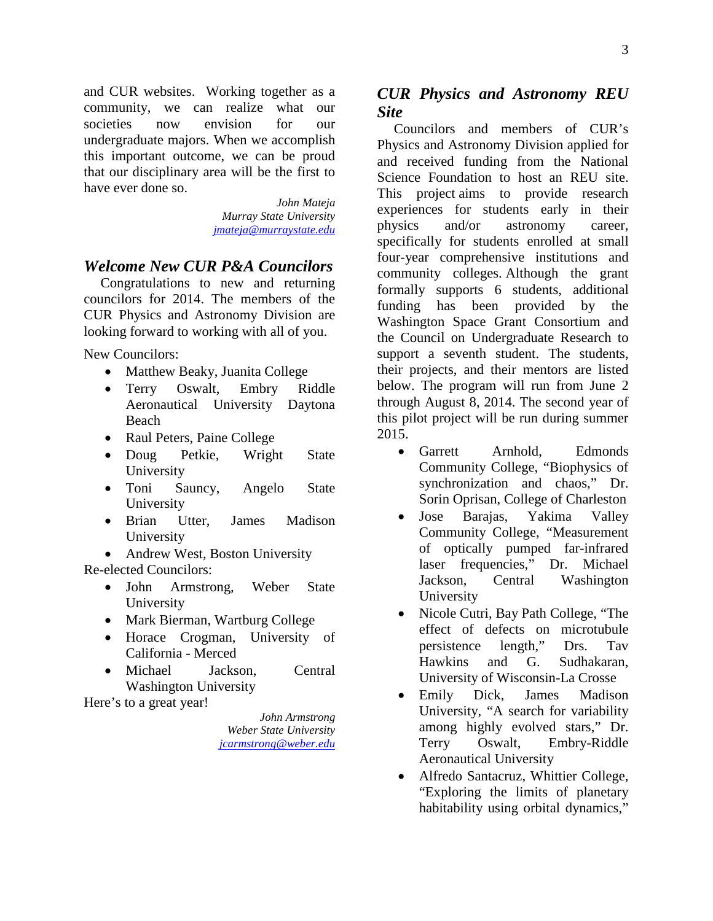and CUR websites. Working together as a community, we can realize what our societies now envision for our undergraduate majors. When we accomplish this important outcome, we can be proud that our disciplinary area will be the first to have ever done so.

> *John Mateja Murray State University [jmateja@murraystate.edu](mailto:jmateja@murraystate.edu)*

### *Welcome New CUR P&A Councilors*

Congratulations to new and returning councilors for 2014. The members of the CUR Physics and Astronomy Division are looking forward to working with all of you.

New Councilors:

- Matthew Beaky, Juanita College
- Terry Oswalt, Embry Riddle Aeronautical University Daytona Beach
- Raul Peters, Paine College
- Doug Petkie, Wright State University
- Toni Sauncy, Angelo State University
- Brian Utter, James Madison University
- Andrew West, Boston University

Re-elected Councilors:

- John Armstrong, Weber State University
- Mark Bierman, Wartburg College
- Horace Crogman, University of California - Merced
- Michael Jackson, Central Washington University

Here's to a great year!

*John Armstrong Weber State University [jcarmstrong@weber.edu](mailto:jcarmstrong@weber.edu)*

### *CUR Physics and Astronomy REU Site*

Councilors and members of CUR's Physics and Astronomy Division applied for and received funding from the National Science Foundation to host an REU site. This project aims to provide research experiences for students early in their physics and/or astronomy career, specifically for students enrolled at small four-year comprehensive institutions and community colleges. Although the grant formally supports 6 students, additional funding has been provided by the Washington Space Grant Consortium and the Council on Undergraduate Research to support a seventh student. The students, their projects, and their mentors are listed below. The program will run from June 2 through August 8, 2014. The second year of this pilot project will be run during summer 2015.

- Garrett Arnhold, Edmonds Community College, "Biophysics of synchronization and chaos," Dr. Sorin Oprisan, College of Charleston
- Jose Barajas, Yakima Valley Community College, "Measurement of optically pumped far-infrared laser frequencies," Dr. Michael Jackson, Central Washington University
- Nicole Cutri, Bay Path College, "The effect of defects on microtubule persistence length," Drs. Tav Hawkins and G. Sudhakaran, University of Wisconsin-La Crosse
- Emily Dick, James Madison University, "A search for variability among highly evolved stars," Dr. Terry Oswalt, Embry-Riddle Aeronautical University
- Alfredo Santacruz, Whittier College, "Exploring the limits of planetary habitability using orbital dynamics,"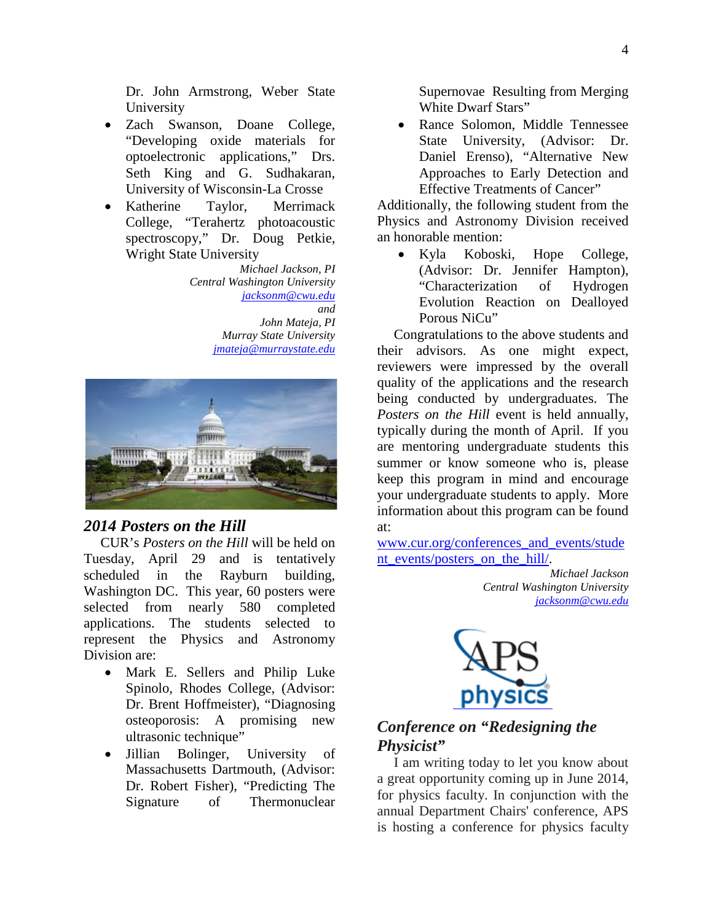Dr. John Armstrong, Weber State University

- Zach Swanson, Doane College, "Developing oxide materials for optoelectronic applications," Drs. Seth King and G. Sudhakaran, University of Wisconsin-La Crosse
- Katherine Taylor, Merrimack College, "Terahertz photoacoustic spectroscopy," Dr. Doug Petkie, Wright State University

*Michael Jackson, PI Central Washington University [jacksonm@cwu.edu](mailto:jacksonm@cwu.edu) and John Mateja, PI Murray State University [jmateja@murraystate.edu](mailto:jmateja@murraystate.edu)*



#### *2014 Posters on the Hill*

CUR's *Posters on the Hill* will be held on Tuesday, April 29 and is tentatively scheduled in the Rayburn building, Washington DC. This year, 60 posters were selected from nearly 580 completed applications. The students selected to represent the Physics and Astronomy Division are:

- Mark E. Sellers and Philip Luke Spinolo, Rhodes College, (Advisor: Dr. Brent Hoffmeister), "Diagnosing osteoporosis: A promising new ultrasonic technique"
- Jillian Bolinger, University of Massachusetts Dartmouth, (Advisor: Dr. Robert Fisher), "Predicting The Signature of Thermonuclear

Supernovae Resulting from Merging White Dwarf Stars"

• Rance Solomon, Middle Tennessee State University, (Advisor: Dr. Daniel Erenso), "Alternative New Approaches to Early Detection and Effective Treatments of Cancer"

Additionally, the following student from the Physics and Astronomy Division received an honorable mention:

• Kyla Koboski, Hope College, (Advisor: Dr. Jennifer Hampton), "Characterization of Hydrogen Evolution Reaction on Dealloyed Porous NiCu"

Congratulations to the above students and their advisors. As one might expect, reviewers were impressed by the overall quality of the applications and the research being conducted by undergraduates. The *Posters on the Hill* event is held annually, typically during the month of April. If you are mentoring undergraduate students this summer or know someone who is, please keep this program in mind and encourage your undergraduate students to apply. More information about this program can be found at:

[www.cur.org/conferences\\_and\\_events/stude](http://www.cur.org/conferences_and_events/student_events/posters_on_the_hill/) nt events/posters on the hill/.

> *Michael Jackson Central Washington University [jacksonm@cwu.edu](mailto:jacksonm@cwu.edu)*



### *Conference on "Redesigning the Physicist"*

I am writing today to let you know about a great opportunity coming up in June 2014, for physics faculty. In conjunction with the annual Department Chairs' conference, APS is hosting a conference for physics faculty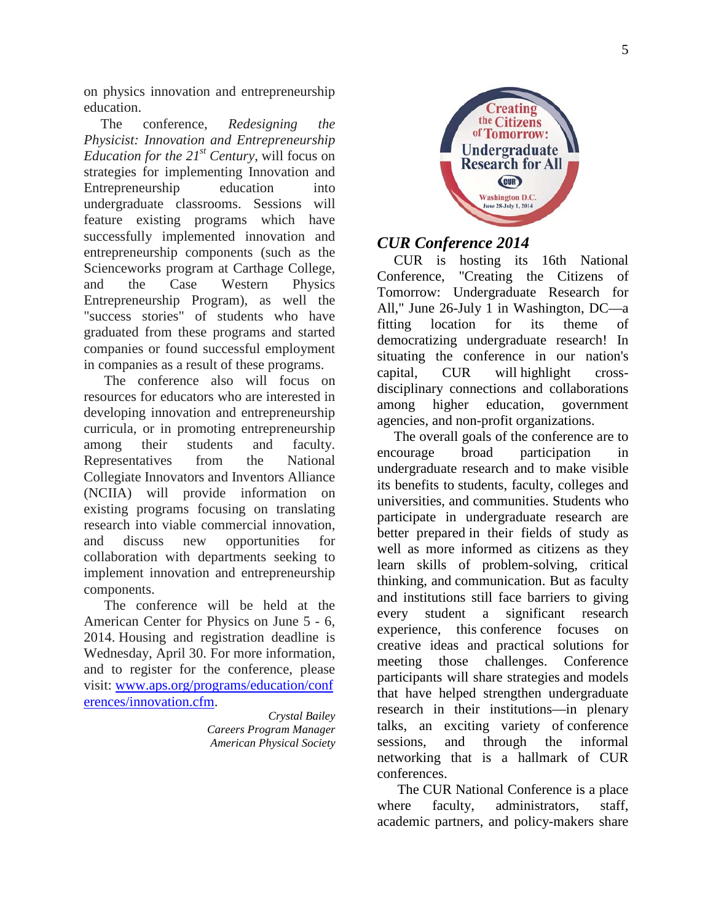on physics innovation and entrepreneurship education.

The conference, *Redesigning the Physicist: Innovation and Entrepreneurship Education for the 21<sup>st</sup> Century*, will focus on strategies for implementing Innovation and Entrepreneurship education into undergraduate classrooms. Sessions will feature existing programs which have successfully implemented innovation and entrepreneurship components (such as the Scienceworks program at Carthage College, and the Case Western Physics Entrepreneurship Program), as well the "success stories" of students who have graduated from these programs and started companies or found successful employment in companies as a result of these programs.

The conference also will focus on resources for educators who are interested in developing innovation and entrepreneurship curricula, or in promoting entrepreneurship among their students and faculty. Representatives from the National Collegiate Innovators and Inventors Alliance (NCIIA) will provide information on existing programs focusing on translating research into viable commercial innovation, and discuss new opportunities for collaboration with departments seeking to implement innovation and entrepreneurship components.

The conference will be held at the American Center for Physics on June 5 - 6, 2014. Housing and registration deadline is Wednesday, April 30. For more information, and to register for the conference, please visit: [www.aps.org/programs/education/conf](http://www.aps.org/programs/education/conferences/innovation.cfm) [erences/innovation.cfm.](http://www.aps.org/programs/education/conferences/innovation.cfm)

> *Crystal Bailey Careers Program Manager American Physical Society*



### *CUR Conference 2014*

CUR is hosting its 16th National Conference, "Creating the Citizens of Tomorrow: Undergraduate Research for All," June 26-July 1 in Washington, DC—a fitting location for its theme of democratizing undergraduate research! In situating the conference in our nation's capital, CUR will highlight crossdisciplinary connections and collaborations among higher education, government agencies, and non-profit organizations.

The overall goals of the conference are to encourage broad participation in undergraduate research and to make visible its benefits to students, faculty, colleges and universities, and communities. Students who participate in undergraduate research are better prepared in their fields of study as well as more informed as citizens as they learn skills of problem-solving, critical thinking, and communication. But as faculty and institutions still face barriers to giving every student a significant research experience, this conference focuses on creative ideas and practical solutions for meeting those challenges. Conference participants will share strategies and models that have helped strengthen undergraduate research in their institutions—in plenary talks, an exciting variety of conference sessions, and through the informal networking that is a hallmark of CUR conferences.

The CUR National Conference is a place where faculty, administrators, staff, academic partners, and policy-makers share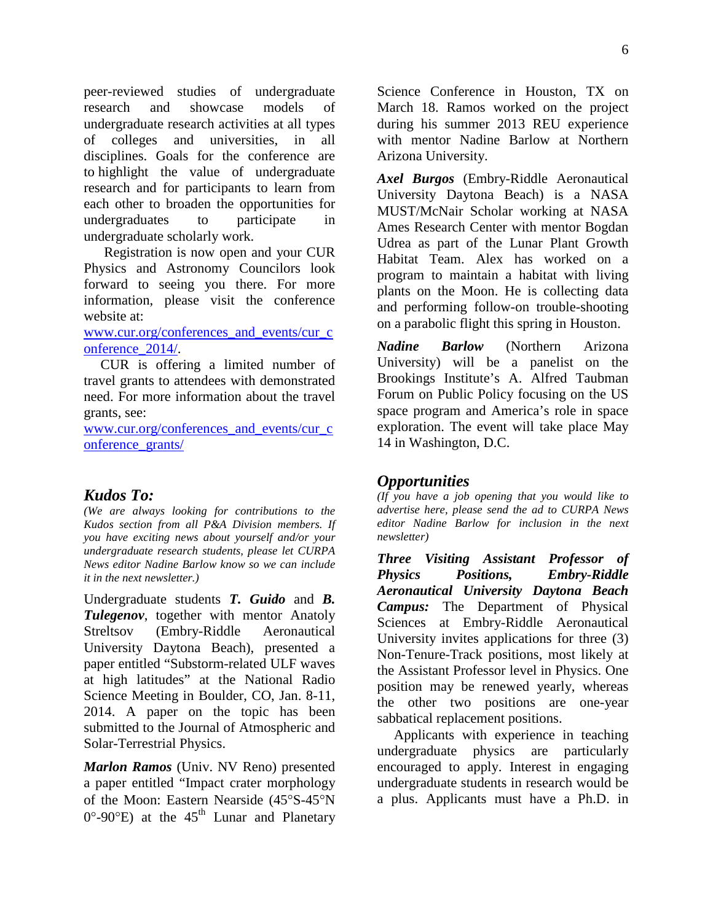peer-reviewed studies of undergraduate research and showcase models of undergraduate research activities at all types of colleges and universities, in all disciplines. Goals for the conference are to highlight the value of undergraduate research and for participants to learn from each other to broaden the opportunities for undergraduates to participate in undergraduate scholarly work.

Registration is now open and your CUR Physics and Astronomy Councilors look forward to seeing you there. For more information, please visit the conference website at:

[www.cur.org/conferences\\_and\\_events/cur\\_c](http://www.cur.org/conferences_and_events/cur_conference_2014/) [onference\\_2014/.](http://www.cur.org/conferences_and_events/cur_conference_2014/)

CUR is offering a limited number of travel grants to attendees with demonstrated need. For more information about the travel grants, see:

[www.cur.org/conferences\\_and\\_events/cur\\_c](http://www.cur.org/conferences_and_events/cur_conference_grants/) [onference\\_grants/](http://www.cur.org/conferences_and_events/cur_conference_grants/)

#### *Kudos To:*

*(We are always looking for contributions to the Kudos section from all P&A Division members. If you have exciting news about yourself and/or your undergraduate research students, please let CURPA News editor Nadine Barlow know so we can include it in the next newsletter.)*

Undergraduate students *T. Guido* and *B. Tulegenov*, together with mentor Anatoly Streltsov (Embry-Riddle Aeronautical University Daytona Beach), presented a paper entitled "Substorm-related ULF waves at high latitudes" at the National Radio Science Meeting in Boulder, CO, Jan. 8-11, 2014. A paper on the topic has been submitted to the Journal of Atmospheric and Solar-Terrestrial Physics.

*Marlon Ramos* (Univ. NV Reno) presented a paper entitled "Impact crater morphology of the Moon: Eastern Nearside (45°S-45°N  $0^{\circ}$ -90°E) at the 45<sup>th</sup> Lunar and Planetary

Science Conference in Houston, TX on March 18. Ramos worked on the project during his summer 2013 REU experience with mentor Nadine Barlow at Northern Arizona University.

*Axel Burgos* (Embry-Riddle Aeronautical University Daytona Beach) is a NASA MUST/McNair Scholar working at NASA Ames Research Center with mentor Bogdan Udrea as part of the Lunar Plant Growth Habitat Team. Alex has worked on a program to maintain a habitat with living plants on the Moon. He is collecting data and performing follow-on trouble-shooting on a parabolic flight this spring in Houston.

*Nadine Barlow* (Northern Arizona University) will be a panelist on the Brookings Institute's A. Alfred Taubman Forum on Public Policy focusing on the US space program and America's role in space exploration. The event will take place May 14 in Washington, D.C.

#### *Opportunities*

*(If you have a job opening that you would like to advertise here, please send the ad to CURPA News editor Nadine Barlow for inclusion in the next newsletter)*

*Three Visiting Assistant Professor of Physics Positions, Embry-Riddle Aeronautical University Daytona Beach Campus:* The Department of Physical Sciences at Embry-Riddle Aeronautical University invites applications for three (3) Non-Tenure-Track positions, most likely at the Assistant Professor level in Physics. One position may be renewed yearly, whereas the other two positions are one-year sabbatical replacement positions.

Applicants with experience in teaching undergraduate physics are particularly encouraged to apply. Interest in engaging undergraduate students in research would be a plus. Applicants must have a Ph.D. in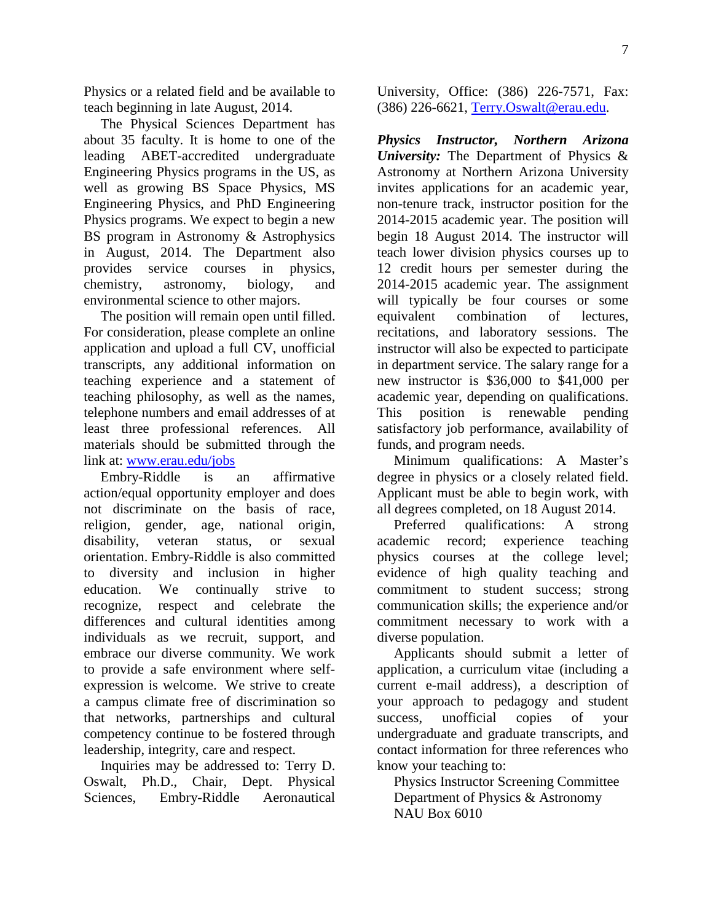Physics or a related field and be available to teach beginning in late August, 2014.

The Physical Sciences Department has about 35 faculty. It is home to one of the leading ABET-accredited undergraduate Engineering Physics programs in the US, as well as growing BS Space Physics, MS Engineering Physics, and PhD Engineering Physics programs. We expect to begin a new BS program in Astronomy & Astrophysics in August, 2014. The Department also provides service courses in physics, chemistry, astronomy, biology, and environmental science to other majors.

The position will remain open until filled. For consideration, please complete an online application and upload a full CV, unofficial transcripts, any additional information on teaching experience and a statement of teaching philosophy, as well as the names, telephone numbers and email addresses of at least three professional references. All materials should be submitted through the link at: [www.erau.edu/jobs](http://www.erau.edu/jobs)

Embry-Riddle is an affirmative action/equal opportunity employer and does not discriminate on the basis of race, religion, gender, age, national origin, disability, veteran status, or sexual orientation. Embry-Riddle is also committed to diversity and inclusion in higher education. We continually strive to recognize, respect and celebrate the differences and cultural identities among individuals as we recruit, support, and embrace our diverse community. We work to provide a safe environment where selfexpression is welcome. We strive to create a campus climate free of discrimination so that networks, partnerships and cultural competency continue to be fostered through leadership, integrity, care and respect.

Inquiries may be addressed to: Terry D. Oswalt, Ph.D., Chair, Dept. Physical Sciences, Embry-Riddle Aeronautical

University, Office: (386) 226-7571, Fax: (386) 226-6621, [Terry.Oswalt@erau.edu.](mailto:Terry.Oswalt@erau.edu)

*Physics Instructor, Northern Arizona University:* The Department of Physics & Astronomy at Northern Arizona University invites applications for an academic year, non-tenure track, instructor position for the 2014-2015 academic year. The position will begin 18 August 2014. The instructor will teach lower division physics courses up to 12 credit hours per semester during the 2014-2015 academic year. The assignment will typically be four courses or some equivalent combination of lectures, recitations, and laboratory sessions. The instructor will also be expected to participate in department service. The salary range for a new instructor is \$36,000 to \$41,000 per academic year, depending on qualifications. This position is renewable pending satisfactory job performance, availability of funds, and program needs.

Minimum qualifications: A Master's degree in physics or a closely related field. Applicant must be able to begin work, with all degrees completed, on 18 August 2014.

Preferred qualifications: A strong academic record; experience teaching physics courses at the college level; evidence of high quality teaching and commitment to student success; strong communication skills; the experience and/or commitment necessary to work with a diverse population.

Applicants should submit a letter of application, a curriculum vitae (including a current e-mail address), a description of your approach to pedagogy and student success, unofficial copies of your undergraduate and graduate transcripts, and contact information for three references who know your teaching to:

Physics Instructor Screening Committee Department of Physics & Astronomy NAU Box 6010